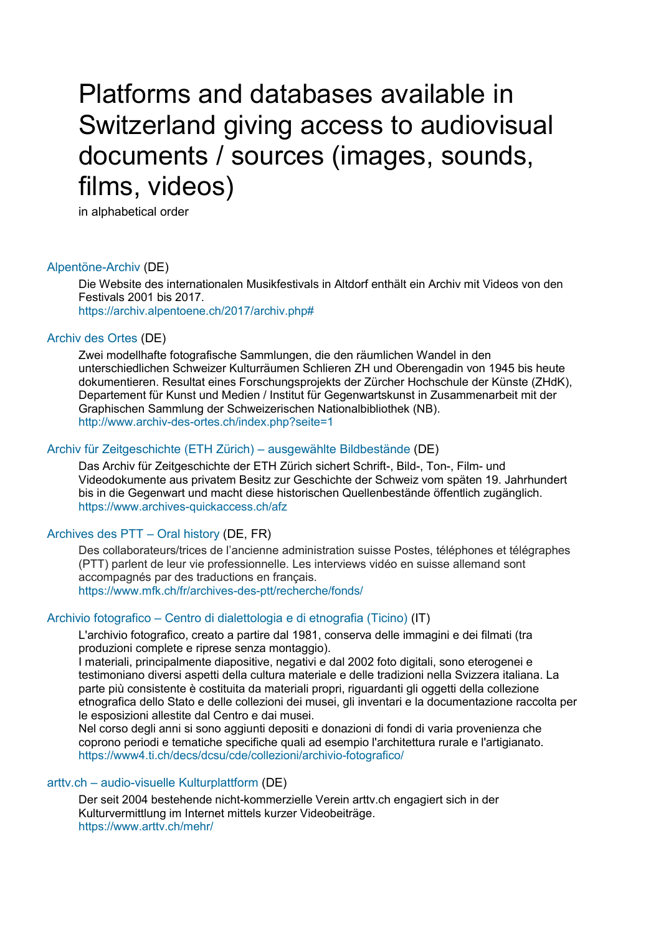# Platforms and databases available in Switzerland giving access to audiovisual documents / sources (images, sounds, films, videos)

in alphabetical order

# [Alpentöne-Archiv](https://archiv.alpentoene.ch/2017/archiv.php) (DE)

Die Website des internationalen Musikfestivals in Altdorf enthält ein Archiv mit Videos von den Festivals 2001 bis 2017. [https://archiv.alpentoene.ch/2017/archiv.php#](https://archiv.alpentoene.ch/2017/archiv.php)

# [Archiv des Ortes](http://www.archiv-des-ortes.ch/index.php?seite=1) (DE)

Zwei modellhafte fotografische Sammlungen, die den räumlichen Wandel in den unterschiedlichen Schweizer Kulturräumen Schlieren ZH und Oberengadin von 1945 bis heute dokumentieren. Resultat eines Forschungsprojekts der Zürcher Hochschule der Künste (ZHdK), Departement für Kunst und Medien / Institut für Gegenwartskunst in Zusammenarbeit mit der Graphischen Sammlung der Schweizerischen Nationalbibliothek (NB). <http://www.archiv-des-ortes.ch/index.php?seite=1>

# [Archiv für Zeitgeschichte \(ETH Zürich\)](https://www.archives-quickaccess.ch/afz) – ausgewählte Bildbestände (DE)

Das Archiv für Zeitgeschichte der ETH Zürich sichert Schrift-, Bild-, Ton-, Film- und Videodokumente aus privatem Besitz zur Geschichte der Schweiz vom späten 19. Jahrhundert bis in die Gegenwart und macht diese historischen Quellenbestände öffentlich zugänglich. <https://www.archives-quickaccess.ch/afz>

# [Archives des PTT](https://www.mfk.ch/fr/archives-des-ptt/recherche/fonds/) – Oral history (DE, FR)

Des collaborateurs/trices de l'ancienne administration suisse Postes, téléphones et télégraphes (PTT) parlent de leur vie professionnelle. Les interviews vidéo en suisse allemand sont accompagnés par des traductions en français. <https://www.mfk.ch/fr/archives-des-ptt/recherche/fonds/>

# Archivio fotografico – [Centro di dialettologia e di etnografia \(Ticino\)](https://www4.ti.ch/decs/dcsu/cde/collezioni/archivio-fotografico/) (IT)

L'archivio fotografico, creato a partire dal 1981, conserva delle immagini e dei filmati (tra produzioni complete e riprese senza montaggio).

I materiali, principalmente diapositive, negativi e dal 2002 foto digitali, sono eterogenei e testimoniano diversi aspetti della cultura materiale e delle tradizioni nella Svizzera italiana. La parte più consistente è costituita da materiali propri, riguardanti gli oggetti della collezione etnografica dello Stato e delle collezioni dei musei, gli inventari e la documentazione raccolta per le esposizioni allestite dal Centro e dai musei.

Nel corso degli anni si sono aggiunti depositi e donazioni di fondi di varia provenienza che coprono periodi e tematiche specifiche quali ad esempio l'architettura rurale e l'artigianato. <https://www4.ti.ch/decs/dcsu/cde/collezioni/archivio-fotografico/>

# arttv.ch – [audio-visuelle Kulturplattform](https://www.arttv.ch/mehr/) (DE)

Der seit 2004 bestehende nicht-kommerzielle Verein arttv.ch engagiert sich in der Kulturvermittlung im Internet mittels kurzer Videobeiträge. <https://www.arttv.ch/mehr/>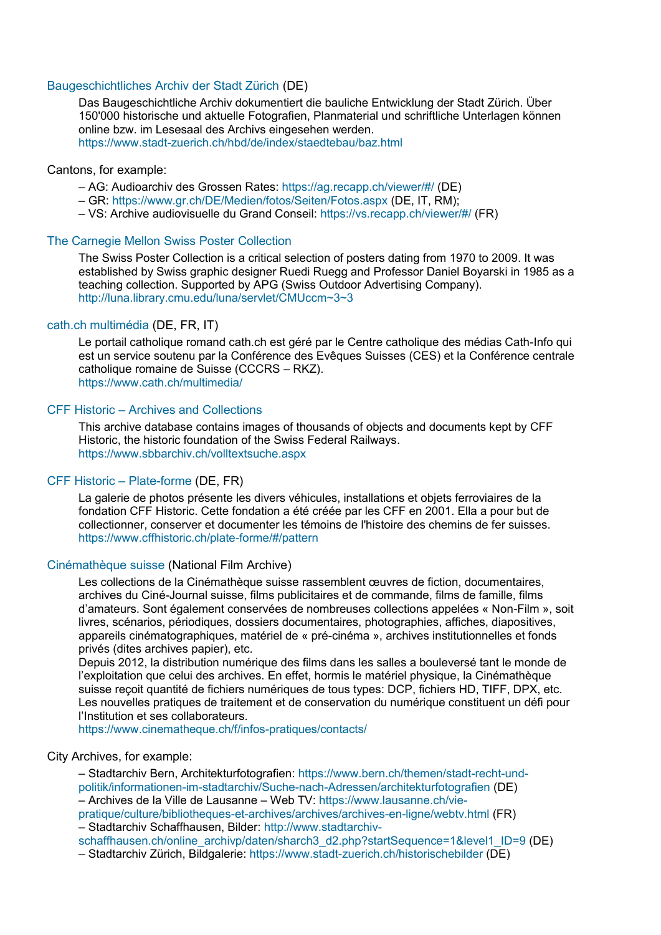# [Baugeschichtliches Archiv der Stadt Zürich](https://www.stadt-zuerich.ch/hbd/de/index/staedtebau/baz.html) (DE)

Das Baugeschichtliche Archiv dokumentiert die bauliche Entwicklung der Stadt Zürich. Über 150'000 historische und aktuelle Fotografien, Planmaterial und schriftliche Unterlagen können online bzw. im Lesesaal des Archivs eingesehen werden. <https://www.stadt-zuerich.ch/hbd/de/index/staedtebau/baz.html>

#### Cantons, for example:

- AG: Audioarchiv des Grossen Rates:<https://ag.recapp.ch/viewer/#/> (DE)
- GR:<https://www.gr.ch/DE/Medien/fotos/Seiten/Fotos.aspx> (DE, IT, RM);
- VS: Archive audiovisuelle du Grand Conseil:<https://vs.recapp.ch/viewer/#/> (FR)

# The Carnegie Mellon [Swiss Poster Collection](http://luna.library.cmu.edu/luna/servlet/CMUccm~3~3)

The Swiss Poster Collection is a critical selection of posters dating from 1970 to 2009. It was established by Swiss graphic designer Ruedi Ruegg and Professor Daniel Boyarski in 1985 as a teaching collection. Supported by APG (Swiss Outdoor Advertising Company). <http://luna.library.cmu.edu/luna/servlet/CMUccm~3~3>

# [cath.ch multimédia](https://www.cath.ch/multimedia/) (DE, FR, IT)

Le portail catholique romand cath.ch est géré par le Centre catholique des médias Cath-Info qui est un service soutenu par la Conférence des Evêques Suisses (CES) et la Conférence centrale catholique romaine de Suisse (CCCRS – RKZ). <https://www.cath.ch/multimedia/>

# CFF Historic – [Archives and Collections](https://www.sbbarchiv.ch/volltextsuche.aspx)

This archive database contains images of thousands of objects and documents kept by CFF Historic, the historic foundation of the Swiss Federal Railways. <https://www.sbbarchiv.ch/volltextsuche.aspx>

# [CFF Historic](https://www.cffhistoric.ch/plate-forme/#/pattern) – Plate-forme (DE, FR)

La galerie de photos présente les divers véhicules, installations et objets ferroviaires de la fondation CFF Historic. Cette fondation a été créée par les CFF en 2001. Ella a pour but de collectionner, conserver et documenter les témoins de l'histoire des chemins de fer suisses. <https://www.cffhistoric.ch/plate-forme/#/pattern>

### [Cinémathèque suisse](https://www.cinematheque.ch/f/infos-pratiques/contacts/) (National Film Archive)

Les collections de la Cinémathèque suisse rassemblent œuvres de fiction, documentaires, archives du Ciné-Journal suisse, films publicitaires et de commande, films de famille, films d'amateurs. Sont également conservées de nombreuses collections appelées « Non-Film », soit livres, scénarios, périodiques, dossiers documentaires, photographies, affiches, diapositives, appareils cinématographiques, matériel de « pré-cinéma », archives institutionnelles et fonds privés (dites archives papier), etc.

Depuis 2012, la distribution numérique des films dans les salles a bouleversé tant le monde de l'exploitation que celui des archives. En effet, hormis le matériel physique, la Cinémathèque suisse reçoit quantité de fichiers numériques de tous types: DCP, fichiers HD, TIFF, DPX, etc. Les nouvelles pratiques de traitement et de conservation du numérique constituent un défi pour l'Institution et ses collaborateurs.

<https://www.cinematheque.ch/f/infos-pratiques/contacts/>

#### City Archives, for example:

– Stadtarchiv Bern, Architekturfotografien: [https://www.bern.ch/themen/stadt-recht-und](https://www.bern.ch/themen/stadt-recht-und-politik/informationen-im-stadtarchiv/Suche-nach-Adressen/architekturfotografien)[politik/informationen-im-stadtarchiv/Suche-nach-Adressen/architekturfotografien](https://www.bern.ch/themen/stadt-recht-und-politik/informationen-im-stadtarchiv/Suche-nach-Adressen/architekturfotografien) (DE) – Archives de la Ville de Lausanne – Web TV: [https://www.lausanne.ch/vie](https://www.lausanne.ch/vie-pratique/culture/bibliotheques-et-archives/archives/archives-en-ligne/webtv.html)[pratique/culture/bibliotheques-et-archives/archives/archives-en-ligne/webtv.html](https://www.lausanne.ch/vie-pratique/culture/bibliotheques-et-archives/archives/archives-en-ligne/webtv.html) (FR)

– Stadtarchiv Schaffhausen, Bilder: [http://www.stadtarchiv-](http://www.stadtarchiv-schaffhausen.ch/online_archivp/daten/sharch3_d2.php?startSequence=1&level1_ID=9)

[schaffhausen.ch/online\\_archivp/daten/sharch3\\_d2.php?startSequence=1&level1\\_ID=9](http://www.stadtarchiv-schaffhausen.ch/online_archivp/daten/sharch3_d2.php?startSequence=1&level1_ID=9) (DE)

– Stadtarchiv Zürich, Bildgalerie:<https://www.stadt-zuerich.ch/historischebilder> (DE)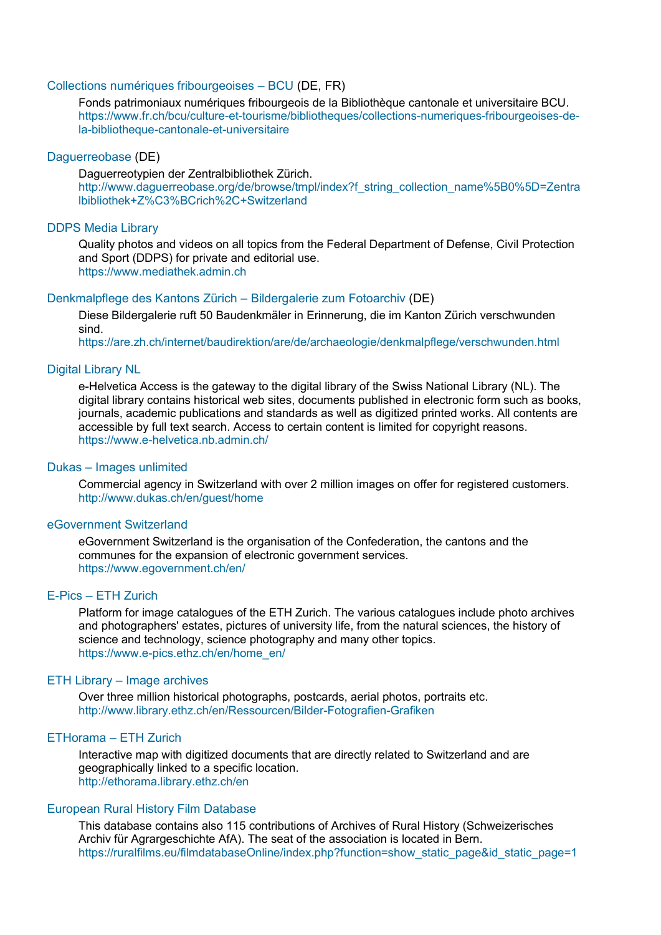# [Collections numériques fribourgeoises](https://www.fr.ch/bcu/culture-et-tourisme/bibliotheques/collections-numeriques-fribourgeoises-de-la-bibliotheque-cantonale-et-universitaire) – BCU (DE, FR)

Fonds patrimoniaux numériques fribourgeois de la Bibliothèque cantonale et universitaire BCU. [https://www.fr.ch/bcu/culture-et-tourisme/bibliotheques/collections-numeriques-fribourgeoises-de](https://www.fr.ch/bcu/culture-et-tourisme/bibliotheques/collections-numeriques-fribourgeoises-de-la-bibliotheque-cantonale-et-universitaire)[la-bibliotheque-cantonale-et-universitaire](https://www.fr.ch/bcu/culture-et-tourisme/bibliotheques/collections-numeriques-fribourgeoises-de-la-bibliotheque-cantonale-et-universitaire)

#### [Daguerreobase](http://www.daguerreobase.org/de/browse/tmpl/index?f_string_collection_name%5B0%5D=Zentralbibliothek+Z%C3%BCrich%2C+Switzerland) (DE)

Daguerreotypien der Zentralbibliothek Zürich. [http://www.daguerreobase.org/de/browse/tmpl/index?f\\_string\\_collection\\_name%5B0%5D=Zentra](http://www.daguerreobase.org/de/browse/tmpl/index?f_string_collection_name%5B0%5D=Zentralbibliothek+Z%C3%BCrich%2C+Switzerland) [lbibliothek+Z%C3%BCrich%2C+Switzerland](http://www.daguerreobase.org/de/browse/tmpl/index?f_string_collection_name%5B0%5D=Zentralbibliothek+Z%C3%BCrich%2C+Switzerland)

# [DDPS Media Library](https://www.mediathek.admin.ch/)

Quality photos and videos on all topics from the Federal Department of Defense, Civil Protection and Sport (DDPS) for private and editorial use. [https://www.mediathek.admin.ch](https://www.mediathek.admin.ch/)

#### [Denkmalpflege des Kantons Zürich](https://are.zh.ch/internet/baudirektion/are/de/archaeologie/denkmalpflege/verschwunden.html) – Bildergalerie zum Fotoarchiv (DE)

Diese Bildergalerie ruft 50 Baudenkmäler in Erinnerung, die im Kanton Zürich verschwunden sind.

<https://are.zh.ch/internet/baudirektion/are/de/archaeologie/denkmalpflege/verschwunden.html>

# [Digital Library NL](https://www.e-helvetica.nb.admin.ch/)

e-Helvetica Access is the gateway to the digital library of the Swiss National Library (NL). The digital library contains historical web sites, documents published in electronic form such as books, journals, academic publications and standards as well as digitized printed works. All contents are accessible by full text search. Access to certain content is limited for copyright reasons. <https://www.e-helvetica.nb.admin.ch/>

#### Dukas – [Images unlimited](http://www.dukas.ch/en/guest/home)

Commercial agency in Switzerland with over 2 million images on offer for registered customers. <http://www.dukas.ch/en/guest/home>

#### [eGovernment Switzerland](https://www.egovernment.ch/en/)

eGovernment Switzerland is the organisation of the Confederation, the cantons and the communes for the expansion of electronic government services. <https://www.egovernment.ch/en/>

#### E-Pics – [ETH Zurich](https://www.e-pics.ethz.ch/en/home_en/)

Platform for image catalogues of the ETH Zurich. The various catalogues include photo archives and photographers' estates, pictures of university life, from the natural sciences, the history of science and technology, science photography and many other topics. [https://www.e-pics.ethz.ch/en/home\\_en/](https://www.e-pics.ethz.ch/en/home_en/)

# ETH Library – [Image archives](http://www.library.ethz.ch/en/Ressourcen/Bilder-Fotografien-Grafiken)

Over three million historical photographs, postcards, aerial photos, portraits etc. <http://www.library.ethz.ch/en/Ressourcen/Bilder-Fotografien-Grafiken>

#### [ETHorama](http://ethorama.library.ethz.ch/en) – ETH Zurich

Interactive map with digitized documents that are directly related to Switzerland and are geographically linked to a specific location. <http://ethorama.library.ethz.ch/en>

#### [European Rural History Film Database](https://ruralfilms.eu/filmdatabaseOnline/index.php?function=show_static_page&id_static_page=1)

This database contains also 115 contributions of Archives of Rural History (Schweizerisches Archiv für Agrargeschichte AfA). The seat of the association is located in Bern. [https://ruralfilms.eu/filmdatabaseOnline/index.php?function=show\\_static\\_page&id\\_static\\_page=1](https://ruralfilms.eu/filmdatabaseOnline/index.php?function=show_static_page&id_static_page=1)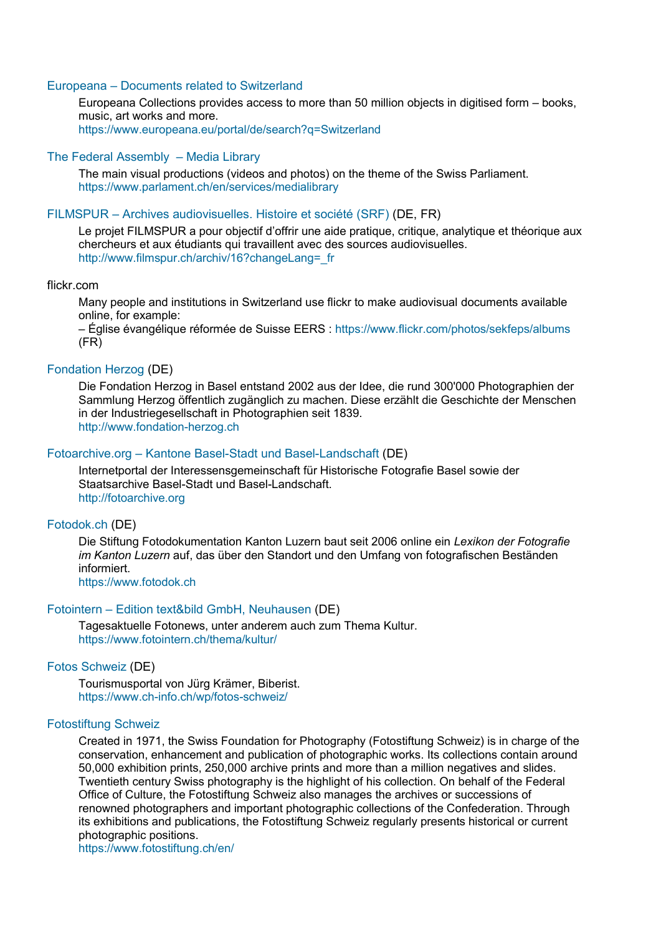# Europeana – [Documents related to Switzerland](https://www.europeana.eu/portal/de/search?q=Switzerland)

Europeana Collections provides access to more than 50 million objects in digitised form – books, music, art works and more.

<https://www.europeana.eu/portal/de/search?q=Switzerland>

#### [The Federal Assembly](https://www.parlament.ch/en/services/medialibrary) – Media Library

The main visual productions (videos and photos) on the theme of the Swiss Parliament. <https://www.parlament.ch/en/services/medialibrary>

#### FILMSPUR – [Archives audiovisuelles. Histoire et société](http://www.filmspur.ch/archiv/16?changeLang=_fr) (SRF) (DE, FR)

Le projet FILMSPUR a pour objectif d'offrir une aide pratique, critique, analytique et théorique aux chercheurs et aux étudiants qui travaillent avec des sources audiovisuelles. [http://www.filmspur.ch/archiv/16?changeLang=\\_fr](http://www.filmspur.ch/archiv/16?changeLang=_fr)

#### flickr.com

Many people and institutions in Switzerland use flickr to make audiovisual documents available online, for example:

– Église évangélique réformée de Suisse EERS :<https://www.flickr.com/photos/sekfeps/albums> (FR)

# [Fondation Herzog](http://www.fondation-herzog.ch/) (DE)

Die Fondation Herzog in Basel entstand 2002 aus der Idee, die rund 300'000 Photographien der Sammlung Herzog öffentlich zugänglich zu machen. Diese erzählt die Geschichte der Menschen in der Industriegesellschaft in Photographien seit 1839. [http://www.fondation-herzog.ch](http://www.fondation-herzog.ch/)

# Fotoarchive.org – [Kantone Basel-Stadt und Basel-Landschaft](http://fotoarchive.org/) (DE)

Internetportal der Interessensgemeinschaft für Historische Fotografie Basel sowie der Staatsarchive Basel-Stadt und Basel-Landschaft. [http://fotoarchive.org](http://fotoarchive.org/)

#### [Fotodok.ch](https://www.fotodok.ch/) (DE)

Die Stiftung Fotodokumentation Kanton Luzern baut seit 2006 online ein *Lexikon der Fotografie im Kanton Luzern* auf, das über den Standort und den Umfang von fotografischen Beständen informiert.

[https://www.fotodok.ch](https://www.fotodok.ch/)

# Fotointern – [Edition text&bild GmbH, Neuhausen](https://www.fotointern.ch/thema/kultur/) (DE)

Tagesaktuelle Fotonews, unter anderem auch zum Thema Kultur. <https://www.fotointern.ch/thema/kultur/>

#### [Fotos Schweiz](https://www.ch-info.ch/wp/fotos-schweiz/) (DE)

Tourismusportal von Jürg Krämer, Biberist. <https://www.ch-info.ch/wp/fotos-schweiz/>

# [Fotostiftung Schweiz](https://www.fotostiftung.ch/en/)

Created in 1971, the Swiss Foundation for Photography (Fotostiftung Schweiz) is in charge of the conservation, enhancement and publication of photographic works. Its collections contain around 50,000 exhibition prints, 250,000 archive prints and more than a million negatives and slides. Twentieth century Swiss photography is the highlight of his collection. On behalf of the Federal Office of Culture, the Fotostiftung Schweiz also manages the archives or successions of renowned photographers and important photographic collections of the Confederation. Through its exhibitions and publications, the Fotostiftung Schweiz regularly presents historical or current photographic positions.

<https://www.fotostiftung.ch/en/>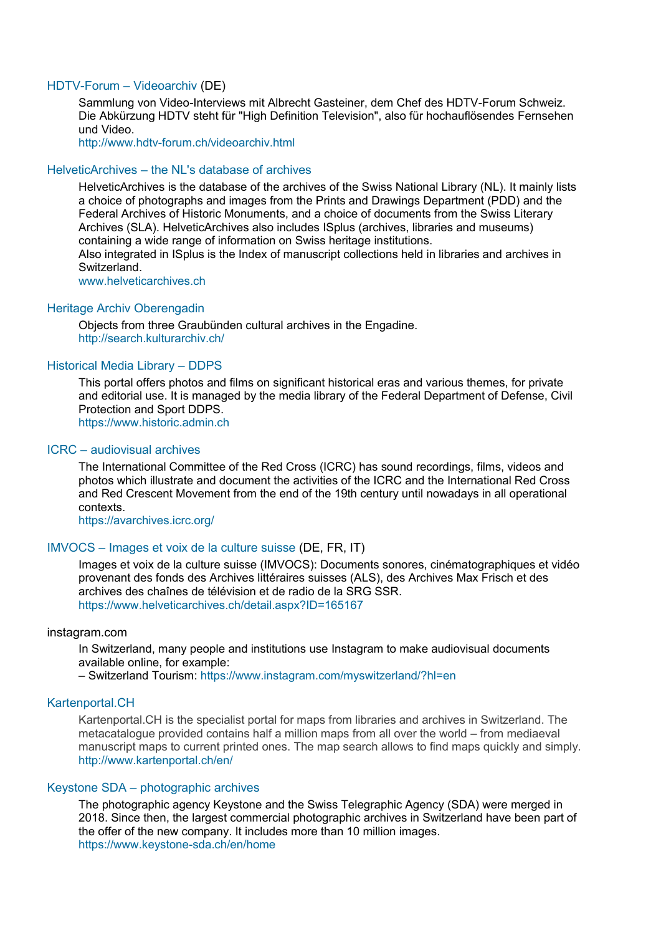# [HDTV-Forum](http://www.hdtv-forum.ch/videoarchiv.html) – Videoarchiv (DE)

Sammlung von Video-Interviews mit Albrecht Gasteiner, dem Chef des HDTV-Forum Schweiz. Die Abkürzung HDTV steht für "High Definition Television", also für hochauflösendes Fernsehen und Video.

<http://www.hdtv-forum.ch/videoarchiv.html>

### HelveticArchives – [the NL's database of archives](http://www.helveticarchives.ch/)

HelveticArchives is the database of the archives of the Swiss National Library (NL). It mainly lists a choice of photographs and images from the Prints and Drawings Department (PDD) and the Federal Archives of Historic Monuments, and a choice of documents from the Swiss Literary Archives (SLA). HelveticArchives also includes ISplus (archives, libraries and museums) containing a wide range of information on Swiss heritage institutions. Also integrated in ISplus is the Index of manuscript collections held in libraries and archives in **Switzerland** 

[www.helveticarchives.ch](http://www.helveticarchives.ch/)

#### [Heritage Archiv Oberengadin](http://search.kulturarchiv.ch/)

Objects from three Graubünden cultural archives in the Engadine. <http://search.kulturarchiv.ch/>

# [Historical Media Library](https://www.historic.admin.ch/) – DDPS

This portal offers photos and films on significant historical eras and various themes, for private and editorial use. It is managed by the media library of the Federal Department of Defense, Civil Protection and Sport DDPS. [https://www.historic.admin.ch](https://www.historic.admin.ch/)

# ICRC – [audiovisual archives](https://avarchives.icrc.org/)

The International Committee of the Red Cross (ICRC) has sound recordings, films, videos and photos which illustrate and document the activities of the ICRC and the International Red Cross and Red Crescent Movement from the end of the 19th century until nowadays in all operational contexts.

<https://avarchives.icrc.org/>

# IMVOCS – Images et [voix de la culture suisse](https://www.helveticarchives.ch/detail.aspx?ID=165167) (DE, FR, IT)

Images et voix de la culture suisse (IMVOCS): Documents sonores, cinématographiques et vidéo provenant des fonds des Archives littéraires suisses (ALS), des Archives Max Frisch et des archives des chaînes de télévision et de radio de la SRG SSR. <https://www.helveticarchives.ch/detail.aspx?ID=165167>

#### instagram.com

In Switzerland, many people and institutions use Instagram to make audiovisual documents available online, for example:

– Switzerland Tourism:<https://www.instagram.com/myswitzerland/?hl=en>

# [Kartenportal.CH](http://www.kartenportal.ch/en/)

Kartenportal.CH is the specialist portal for maps from libraries and archives in Switzerland. The metacatalogue provided contains half a million maps from all over the world – from mediaeval manuscript maps to current printed ones. The map search allows to find maps quickly and simply. <http://www.kartenportal.ch/en/>

#### Keystone SDA – [photographic archives](https://www.keystone-sda.ch/en/home)

The photographic agency Keystone and the Swiss Telegraphic Agency (SDA) were merged in 2018. Since then, the largest commercial photographic archives in Switzerland have been part of the offer of the new company. It includes more than 10 million images. <https://www.keystone-sda.ch/en/home>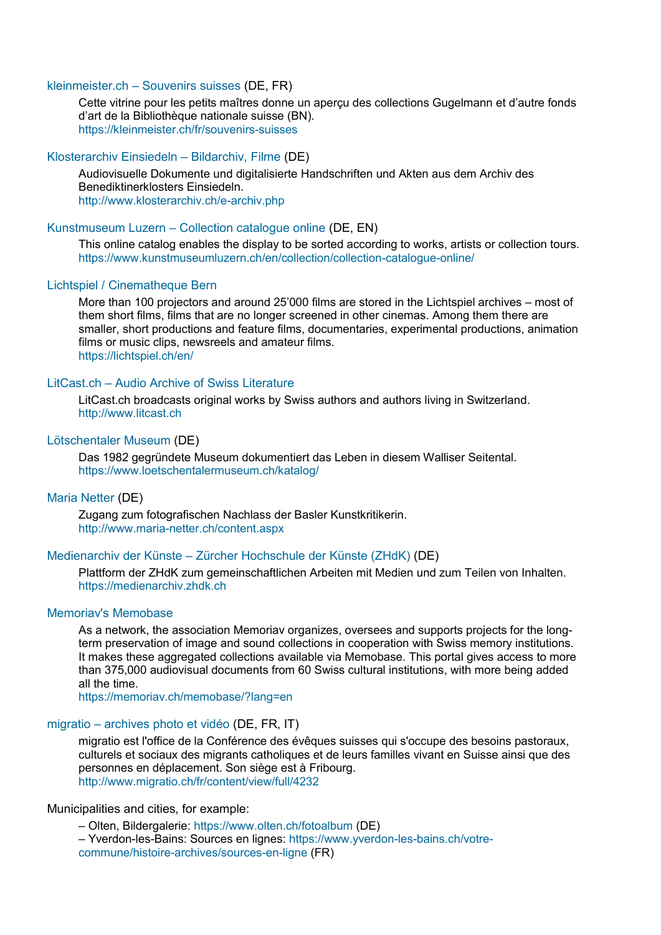# kleinmeister.ch – [Souvenirs suisses](https://kleinmeister.ch/fr/souvenirs-suisses) (DE, FR)

Cette vitrine pour les petits maîtres donne un aperçu des collections Gugelmann et d'autre fonds d'art de la Bibliothèque nationale suisse (BN). <https://kleinmeister.ch/fr/souvenirs-suisses>

# Klosterarchiv Einsiedeln – [Bildarchiv, Filme](http://www.klosterarchiv.ch/e-archiv.php) (DE)

Audiovisuelle Dokumente und digitalisierte Handschriften und Akten aus dem Archiv des Benediktinerklosters Einsiedeln. <http://www.klosterarchiv.ch/e-archiv.php>

# Kunstmuseum Luzern – [Collection catalogue online](https://www.kunstmuseumluzern.ch/en/collection/collection-catalogue-online/) (DE, EN)

This online catalog enables the display to be sorted according to works, artists or collection tours. <https://www.kunstmuseumluzern.ch/en/collection/collection-catalogue-online/>

#### [Lichtspiel / Cinematheque Bern](https://lichtspiel.ch/en/)

More than 100 projectors and around 25'000 films are stored in the Lichtspiel archives – most of them short films, films that are no longer screened in other cinemas. Among them there are smaller, short productions and feature films, documentaries, experimental productions, animation films or music clips, newsreels and amateur films. <https://lichtspiel.ch/en/>

#### LitCast.ch – [Audio Archive of Swiss Literature](http://www.litcast.ch/)

LitCast.ch broadcasts original works by Swiss authors and authors living in Switzerland. [http://www.litcast.ch](http://www.litcast.ch/)

#### [Lötschentaler Museum](https://www.loetschentalermuseum.ch/katalog/) (DE)

Das 1982 gegründete Museum dokumentiert das Leben in diesem Walliser Seitental. <https://www.loetschentalermuseum.ch/katalog/>

#### [Maria Netter](http://www.maria-netter.ch/content.aspx) (DE)

Zugang zum fotografischen Nachlass der Basler Kunstkritikerin. <http://www.maria-netter.ch/content.aspx>

# Medienarchiv der Künste – [Zürcher Hochschule der Künste \(ZHdK\)](https://medienarchiv.zhdk.ch/) (DE)

Plattform der ZHdK zum gemeinschaftlichen Arbeiten mit Medien und zum Teilen von Inhalten. [https://medienarchiv.zhdk.ch](https://medienarchiv.zhdk.ch/)

# [Memoriav's Memobase](https://memoriav.ch/memobase/?lang=en)

As a network, the association Memoriav organizes, oversees and supports projects for the longterm preservation of image and sound collections in cooperation with Swiss memory institutions. It makes these aggregated collections available via Memobase. This portal gives access to more than 375,000 audiovisual documents from 60 Swiss cultural institutions, with more being added all the time.

<https://memoriav.ch/memobase/?lang=en>

# migratio – [archives photo et vidéo](http://www.migratio.ch/fr/content/view/full/4232) (DE, FR, IT)

migratio est l'office de la Conférence des évêques suisses qui s'occupe des besoins pastoraux, culturels et sociaux des migrants catholiques et de leurs familles vivant en Suisse ainsi que des personnes en déplacement. Son siège est à Fribourg. <http://www.migratio.ch/fr/content/view/full/4232>

#### Municipalities and cities, for example:

– Olten, Bildergalerie:<https://www.olten.ch/fotoalbum> (DE)

– Yverdon-les-Bains: Sources en lignes: [https://www.yverdon-les-bains.ch/votre](https://www.yverdon-les-bains.ch/votre-commune/histoire-archives/sources-en-ligne)[commune/histoire-archives/sources-en-ligne](https://www.yverdon-les-bains.ch/votre-commune/histoire-archives/sources-en-ligne) (FR)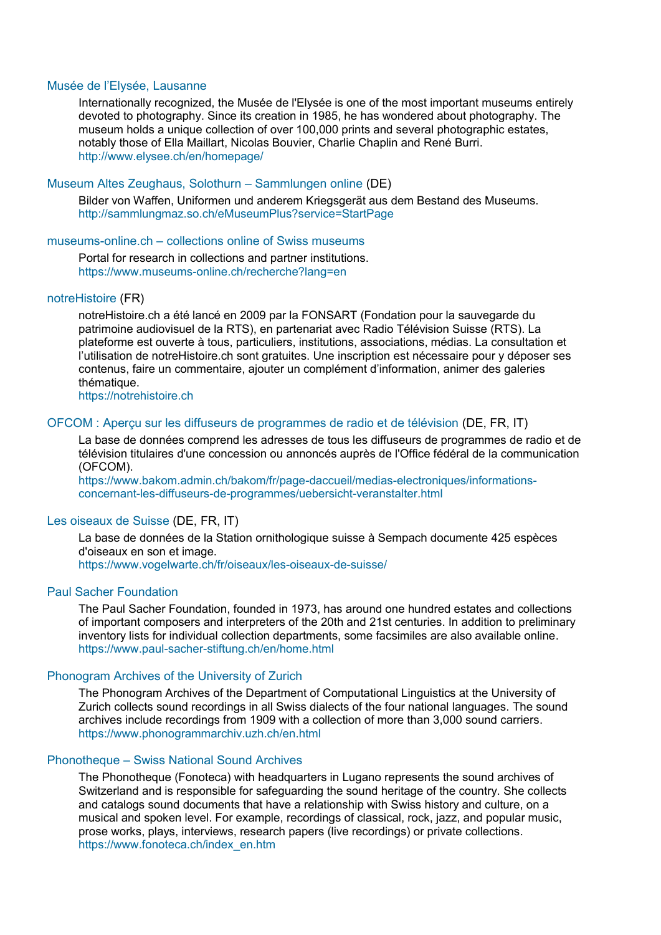#### [Musée de l'Elysée, Laus](http://www.elysee.ch/en/homepage/)anne

Internationally recognized, the Musée de l'Elysée is one of the most important museums entirely devoted to photography. Since its creation in 1985, he has wondered about photography. The museum holds a unique collection of over 100,000 prints and several photographic estates, notably those of Ella Maillart, Nicolas Bouvier, Charlie Chaplin and René Burri. <http://www.elysee.ch/en/homepage/>

# [Museum Altes Zeughaus,](http://sammlungmaz.so.ch/eMuseumPlus?service=StartPage) Solothurn – Sammlungen online (DE)

Bilder von Waffen, Uniformen und anderem Kriegsgerät aus dem Bestand des Museums. <http://sammlungmaz.so.ch/eMuseumPlus?service=StartPage>

# museums-online.ch – [collections online of Swiss museums](https://www.museums-online.ch/recherche?lang=en)

Portal for research in collections and partner institutions. <https://www.museums-online.ch/recherche?lang=en>

#### [notreHistoire](https://notrehistoire.ch/) (FR)

notreHistoire.ch a été lancé en 2009 par la FONSART (Fondation pour la sauvegarde du patrimoine audiovisuel de la RTS), en partenariat avec Radio Télévision Suisse (RTS). La plateforme est ouverte à tous, particuliers, institutions, associations, médias. La consultation et l'utilisation de notreHistoire.ch sont gratuites. Une inscription est nécessaire pour y déposer ses contenus, faire un commentaire, ajouter un complément d'information, animer des galeries thématique.

[https://notrehistoire.ch](https://notrehistoire.ch/)

# OFCOM [: Aperçu sur les diffuseurs de programmes de radio et de télévision](https://www.bakom.admin.ch/bakom/fr/page-daccueil/medias-electroniques/informations-concernant-les-diffuseurs-de-programmes/uebersicht-veranstalter.html) (DE, FR, IT)

La base de données comprend les adresses de tous les diffuseurs de programmes de radio et de télévision titulaires d'une concession ou annoncés auprès de l'Office fédéral de la communication (OFCOM).

[https://www.bakom.admin.ch/bakom/fr/page-daccueil/medias-electroniques/informations](https://www.bakom.admin.ch/bakom/fr/page-daccueil/medias-electroniques/informations-concernant-les-diffuseurs-de-programmes/uebersicht-veranstalter.html)[concernant-les-diffuseurs-de-programmes/uebersicht-veranstalter.html](https://www.bakom.admin.ch/bakom/fr/page-daccueil/medias-electroniques/informations-concernant-les-diffuseurs-de-programmes/uebersicht-veranstalter.html)

# [Les oiseaux de Suisse](https://www.vogelwarte.ch/fr/oiseaux/les-oiseaux-de-suisse/) (DE, FR, IT)

La base de données de la Station ornithologique suisse à Sempach documente 425 espèces d'oiseaux en son et image. <https://www.vogelwarte.ch/fr/oiseaux/les-oiseaux-de-suisse/>

#### [Paul Sacher Foundation](https://www.paul-sacher-stiftung.ch/en/home.html)

The Paul Sacher Foundation, founded in 1973, has around one hundred estates and collections of important composers and interpreters of the 20th and 21st centuries. In addition to preliminary inventory lists for individual collection departments, some facsimiles are also available online. <https://www.paul-sacher-stiftung.ch/en/home.html>

#### [Phonogram Archives of the University of Zurich](https://www.phonogrammarchiv.uzh.ch/en.html)

The Phonogram Archives of the Department of Computational Linguistics at the University of Zurich collects sound recordings in all Swiss dialects of the four national languages. The sound archives include recordings from 1909 with a collection of more than 3,000 sound carriers. <https://www.phonogrammarchiv.uzh.ch/en.html>

# Phonotheque – [Swiss National Sound Archives](https://www.fonoteca.ch/index_en.htm)

The Phonotheque (Fonoteca) with headquarters in Lugano represents the sound archives of Switzerland and is responsible for safeguarding the sound heritage of the country. She collects and catalogs sound documents that have a relationship with Swiss history and culture, on a musical and spoken level. For example, recordings of classical, rock, jazz, and popular music, prose works, plays, interviews, research papers (live recordings) or private collections. [https://www.fonoteca.ch/index\\_en.htm](https://www.fonoteca.ch/index_en.htm)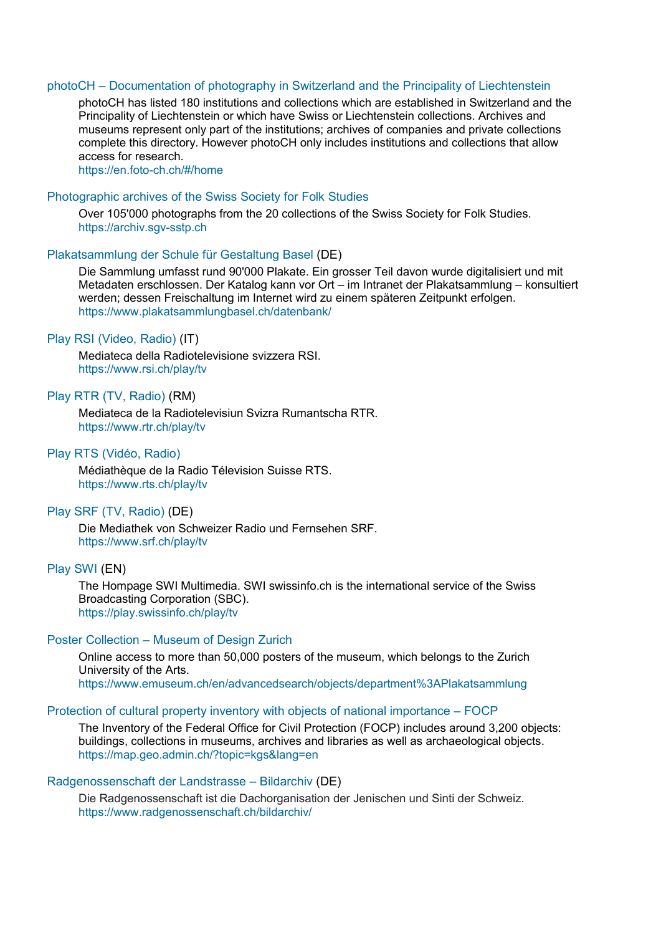#### photoCH – [Documentation of photography in Switzerland and the Principality of Liechtenstein](https://en.foto-ch.ch/#/home)

photoCH has listed 180 institutions and collections which are established in Switzerland and the Principality of Liechtenstein or which have Swiss or Liechtenstein collections. Archives and museums represent only part of the institutions; archives of companies and private collections complete this directory. However photoCH only includes institutions and collections that allow access for research.

<https://en.foto-ch.ch/#/home>

#### [Photographic archives of the Swiss Society for Folk Studies](https://archiv.sgv-sstp.ch/)

Over 105'000 photographs from the 20 collections of the Swiss Society for Folk Studies. [https://archiv.sgv-sstp.ch](https://archiv.sgv-sstp.ch/)

# Plakatsammlung [der Schule für Gestaltung Basel](https://www.plakatsammlungbasel.ch/datenbank/) (DE)

Die Sammlung umfasst rund 90'000 Plakate. Ein grosser Teil davon wurde digitalisiert und mit Metadaten erschlossen. Der Katalog kann vor Ort – im Intranet der Plakatsammlung – konsultiert werden; dessen Freischaltung im Internet wird zu einem späteren Zeitpunkt erfolgen. <https://www.plakatsammlungbasel.ch/datenbank/>

# [Play RSI \(Video, Radio\)](https://www.rsi.ch/play/tv) (IT)

Mediateca della Radiotelevisione svizzera RSI. <https://www.rsi.ch/play/tv>

#### [Play RTR \(TV, Radio\)](https://www.rtr.ch/play/tv) (RM)

Mediateca de la Radiotelevisiun Svizra Rumantscha RTR. <https://www.rtr.ch/play/tv>

#### Play [RTS \(Vidéo, Radio\)](https://www.rts.ch/play/tv)

Médiathèque de la Radio Télevision Suisse RTS. <https://www.rts.ch/play/tv>

#### [Play SRF \(TV, Radio\)](https://www.srf.ch/play/tv) (DE)

Die Mediathek von Schweizer Radio und Fernsehen SRF. <https://www.srf.ch/play/tv>

#### [Play SWI](https://play.swissinfo.ch/play/tv) (EN)

The Hompage SWI Multimedia. SWI swissinfo.ch is the international service of the Swiss Broadcasting Corporation (SBC). <https://play.swissinfo.ch/play/tv>

#### Poster Collection – [Museum of Design Zurich](https://www.emuseum.ch/en/advancedsearch/objects/department%3APlakatsammlung)

Online access to more than 50,000 posters of the museum, which belongs to the Zurich University of the Arts. <https://www.emuseum.ch/en/advancedsearch/objects/department%3APlakatsammlung>

#### [Protection of cultural property inventory with objects of national importance](https://map.geo.admin.ch/?topic=kgs&lang=en) – FOCP

The Inventory of the Federal Office for Civil Protection (FOCP) includes around 3,200 objects: buildings, collections in museums, archives and libraries as well as archaeological objects. <https://map.geo.admin.ch/?topic=kgs&lang=en>

#### [Radgenossenschaft der Landstrasse](https://www.radgenossenschaft.ch/bildarchiv/) – Bildarchiv (DE)

Die Radgenossenschaft ist die Dachorganisation der Jenischen und Sinti der Schweiz. <https://www.radgenossenschaft.ch/bildarchiv/>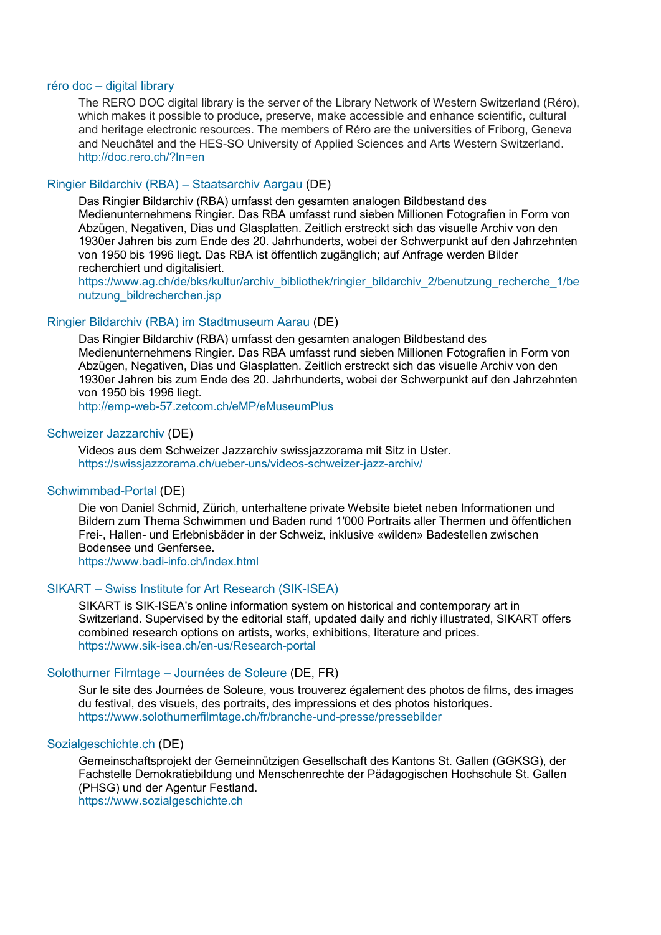# réro doc – [digital library](http://doc.rero.ch/?ln=en)

The RERO DOC digital library is the server of the Library Network of Western Switzerland (Réro), which makes it possible to produce, preserve, make accessible and enhance scientific, cultural and heritage electronic resources. The members of Réro are the universities of Friborg, Geneva and Neuchâtel and the HES-SO University of Applied Sciences and Arts Western Switzerland. <http://doc.rero.ch/?ln=en>

# [Ringier Bildarchiv \(RBA\)](https://www.ag.ch/de/bks/kultur/archiv_bibliothek/ringier_bildarchiv_2/benutzung_recherche_1/benutzung_bildrecherchen.jsp) – Staatsarchiv Aargau (DE)

Das Ringier Bildarchiv (RBA) umfasst den gesamten analogen Bildbestand des Medienunternehmens Ringier. Das RBA umfasst rund sieben Millionen Fotografien in Form von Abzügen, Negativen, Dias und Glasplatten. Zeitlich erstreckt sich das visuelle Archiv von den 1930er Jahren bis zum Ende des 20. Jahrhunderts, wobei der Schwerpunkt auf den Jahrzehnten von 1950 bis 1996 liegt. Das RBA ist öffentlich zugänglich; auf Anfrage werden Bilder recherchiert und digitalisiert.

[https://www.ag.ch/de/bks/kultur/archiv\\_bibliothek/ringier\\_bildarchiv\\_2/benutzung\\_recherche\\_1/be](https://www.ag.ch/de/bks/kultur/archiv_bibliothek/ringier_bildarchiv_2/benutzung_recherche_1/benutzung_bildrecherchen.jsp) [nutzung\\_bildrecherchen.jsp](https://www.ag.ch/de/bks/kultur/archiv_bibliothek/ringier_bildarchiv_2/benutzung_recherche_1/benutzung_bildrecherchen.jsp)

# [Ringier Bildarchiv \(RBA\) im Stadtmuseum Aarau](http://emp-web-57.zetcom.ch/eMP/eMuseumPlus) (DE)

Das Ringier Bildarchiv (RBA) umfasst den gesamten analogen Bildbestand des Medienunternehmens Ringier. Das RBA umfasst rund sieben Millionen Fotografien in Form von Abzügen, Negativen, Dias und Glasplatten. Zeitlich erstreckt sich das visuelle Archiv von den 1930er Jahren bis zum Ende des 20. Jahrhunderts, wobei der Schwerpunkt auf den Jahrzehnten von 1950 bis 1996 liegt.

<http://emp-web-57.zetcom.ch/eMP/eMuseumPlus>

# [Schweizer Jazzarchiv](https://swissjazzorama.ch/ueber-uns/videos-schweizer-jazz-archiv/) (DE)

Videos aus dem Schweizer Jazzarchiv swissjazzorama mit Sitz in Uster. <https://swissjazzorama.ch/ueber-uns/videos-schweizer-jazz-archiv/>

# [Schwimmbad-Portal](https://www.badi-info.ch/index.html) (DE)

Die von Daniel Schmid, Zürich, unterhaltene private Website bietet neben Informationen und Bildern zum Thema Schwimmen und Baden rund 1'000 Portraits aller Thermen und öffentlichen Frei-, Hallen- und Erlebnisbäder in der Schweiz, inklusive «wilden» Badestellen zwischen Bodensee und Genfersee.

<https://www.badi-info.ch/index.html>

# SIKART – [Swiss Institute for Art Research \(SIK-ISEA\)](https://www.sik-isea.ch/en-us/Research-portal)

SIKART is SIK-ISEA's online information system on historical and contemporary art in Switzerland. Supervised by the editorial staff, updated daily and richly illustrated, SIKART offers combined research options on artists, works, exhibitions, literature and prices. <https://www.sik-isea.ch/en-us/Research-portal>

# [Solothurner Filmtage](https://www.solothurnerfilmtage.ch/fr/branche-und-presse/pressebilder) – Journées de Soleure (DE, FR)

Sur le site des Journées de Soleure, vous trouverez également des photos de films, des images du festival, des visuels, des portraits, des impressions et des photos historiques. <https://www.solothurnerfilmtage.ch/fr/branche-und-presse/pressebilder>

#### [Sozialgeschichte.ch](https://www.sozialgeschichte.ch/) (DE)

Gemeinschaftsprojekt der Gemeinnützigen Gesellschaft des Kantons St. Gallen (GGKSG), der Fachstelle Demokratiebildung und Menschenrechte der Pädagogischen Hochschule St. Gallen (PHSG) und der Agentur Festland.

[https://www.sozialgeschichte.ch](https://www.sozialgeschichte.ch/)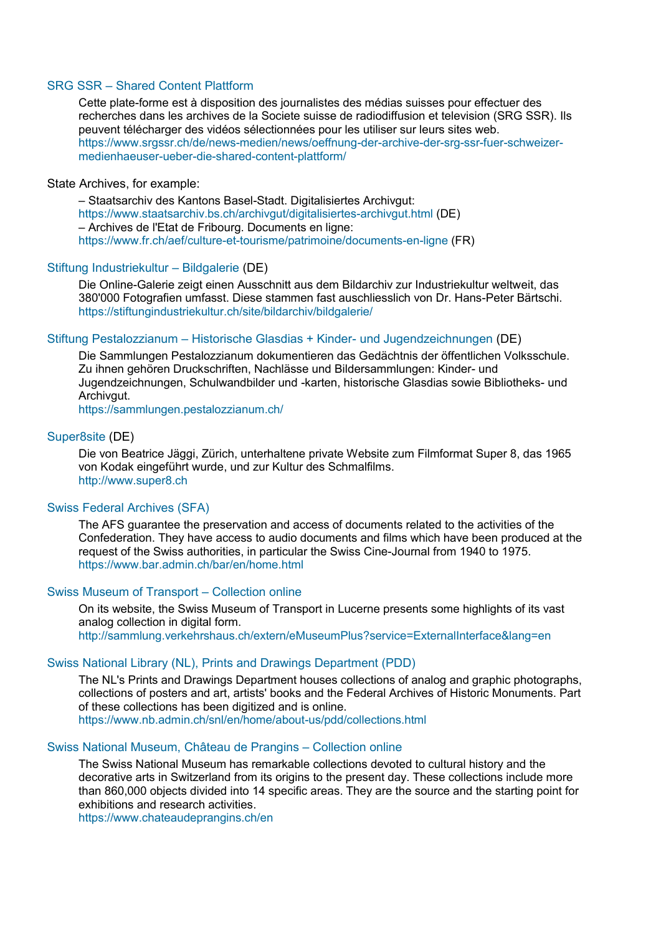# SRG SSR – [Shared Content Plattform](https://www.srgssr.ch/de/news-medien/news/oeffnung-der-archive-der-srg-ssr-fuer-schweizer-medienhaeuser-ueber-die-shared-content-plattform/)

Cette plate-forme est à disposition des journalistes des médias suisses pour effectuer des recherches dans les archives de la Societe suisse de radiodiffusion et television (SRG SSR). Ils peuvent télécharger des vidéos sélectionnées pour les utiliser sur leurs sites web. [https://www.srgssr.ch/de/news-medien/news/oeffnung-der-archive-der-srg-ssr-fuer-schweizer](https://www.srgssr.ch/de/news-medien/news/oeffnung-der-archive-der-srg-ssr-fuer-schweizer-medienhaeuser-ueber-die-shared-content-plattform/)[medienhaeuser-ueber-die-shared-content-plattform/](https://www.srgssr.ch/de/news-medien/news/oeffnung-der-archive-der-srg-ssr-fuer-schweizer-medienhaeuser-ueber-die-shared-content-plattform/)

#### State Archives, for example:

– Staatsarchiv des Kantons Basel-Stadt. Digitalisiertes Archivgut: <https://www.staatsarchiv.bs.ch/archivgut/digitalisiertes-archivgut.html> (DE) – Archives de l'Etat de Fribourg. Documents en ligne: <https://www.fr.ch/aef/culture-et-tourisme/patrimoine/documents-en-ligne> (FR)

#### [Stiftung Industriekultur](https://stiftungindustriekultur.ch/site/bildarchiv/bildgalerie/) – Bildgalerie (DE)

Die Online-Galerie zeigt einen Ausschnitt aus dem Bildarchiv zur Industriekultur weltweit, das 380'000 Fotografien umfasst. Diese stammen fast auschliesslich von Dr. Hans-Peter Bärtschi. <https://stiftungindustriekultur.ch/site/bildarchiv/bildgalerie/>

#### Stiftung Pestalozzianum – [Historische Glasdias + Kinder-](https://sammlungen.pestalozzianum.ch/) und Jugendzeichnungen (DE)

Die Sammlungen Pestalozzianum dokumentieren das Gedächtnis der öffentlichen Volksschule. Zu ihnen gehören Druckschriften, Nachlässe und Bildersammlungen: Kinder- und Jugendzeichnungen, Schulwandbilder und -karten, historische Glasdias sowie Bibliotheks- und Archivaut.

<https://sammlungen.pestalozzianum.ch/>

# [Super8site](http://www.super8.ch/) (DE)

Die von Beatrice Jäggi, Zürich, unterhaltene private Website zum Filmformat Super 8, das 1965 von Kodak eingeführt wurde, und zur Kultur des Schmalfilms. [http://www.super8.ch](http://www.super8.ch/)

#### [Swiss Federal Archives \(SFA\)](https://www.bar.admin.ch/bar/en/home.html)

The AFS guarantee the preservation and access of documents related to the activities of the Confederation. They have access to audio documents and films which have been produced at the request of the Swiss authorities, in particular the Swiss Cine-Journal from 1940 to 1975. <https://www.bar.admin.ch/bar/en/home.html>

#### [Swiss Museum of Transport](http://sammlung.verkehrshaus.ch/extern/eMuseumPlus?service=ExternalInterface&lang=en) – Collection online

On its website, the Swiss Museum of Transport in Lucerne presents some highlights of its vast analog collection in digital form. <http://sammlung.verkehrshaus.ch/extern/eMuseumPlus?service=ExternalInterface&lang=en>

#### [Swiss National Library \(NL\), Prints and Drawings Department \(PDD\)](https://www.nb.admin.ch/snl/en/home/about-us/pdd/collections.html)

The NL's Prints and Drawings Department houses collections of analog and graphic photographs, collections of posters and art, artists' books and the Federal Archives of Historic Monuments. Part of these collections has been digitized and is online. <https://www.nb.admin.ch/snl/en/home/about-us/pdd/collections.html>

#### [Swiss National Museum, Château de Prangins](https://www.chateaudeprangins.ch/en) – Collection online

The Swiss National Museum has remarkable collections devoted to cultural history and the decorative arts in Switzerland from its origins to the present day. These collections include more than 860,000 objects divided into 14 specific areas. They are the source and the starting point for exhibitions and research activities.

<https://www.chateaudeprangins.ch/en>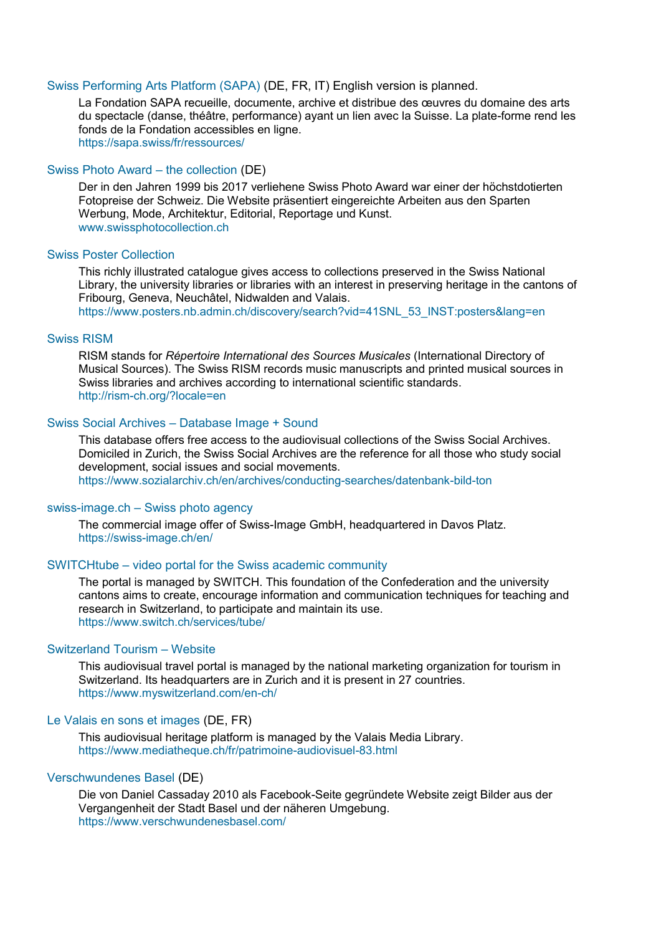#### [Swiss Performing Arts Platform \(SAPA\)](https://sapa.swiss/fr/ressources/) (DE, FR, IT) English version is planned.

La Fondation SAPA recueille, documente, archive et distribue des œuvres du domaine des arts du spectacle (danse, théâtre, performance) ayant un lien avec la Suisse. La plate-forme rend les fonds de la Fondation accessibles en ligne. <https://sapa.swiss/fr/ressources/>

#### [Swiss Photo Award](http://www.swissphotocollection.ch/) – the collection (DE)

Der in den Jahren 1999 bis 2017 verliehene Swiss Photo Award war einer der höchstdotierten Fotopreise der Schweiz. Die Website präsentiert eingereichte Arbeiten aus den Sparten Werbung, Mode, Architektur, Editorial, Reportage und Kunst. [www.swissphotocollection.ch](http://www.swissphotocollection.ch/)

#### [Swiss Poster Collection](https://www.posters.nb.admin.ch/discovery/search?vid=41SNL_53_INST:posters&lang=en)

This richly illustrated catalogue gives access to collections preserved in the Swiss National Library, the university libraries or libraries with an interest in preserving heritage in the cantons of Fribourg, Geneva, Neuchâtel, Nidwalden and Valais.

[https://www.posters.nb.admin.ch/discovery/search?vid=41SNL\\_53\\_INST:posters&lang=en](https://www.posters.nb.admin.ch/discovery/search?vid=41SNL_53_INST:posters&lang=en)

# [Swiss RISM](http://rism-ch.org/?locale=en)

RISM stands for *Répertoire International des Sources Musicales* (International Directory of Musical Sources). The Swiss RISM records music manuscripts and printed musical sources in Swiss libraries and archives according to international scientific standards. <http://rism-ch.org/?locale=en>

# Swiss Social Archives – [Database Image + Sound](https://www.sozialarchiv.ch/en/archives/conducting-searches/datenbank-bild-ton)

This database offers free access to the audiovisual collections of the Swiss Social Archives. Domiciled in Zurich, the Swiss Social Archives are the reference for all those who study social development, social issues and social movements. <https://www.sozialarchiv.ch/en/archives/conducting-searches/datenbank-bild-ton>

#### swiss-image.ch – [Swiss photo agency](https://swiss-image.ch/en/)

The commercial image offer of Swiss-Image GmbH, headquartered in Davos Platz. <https://swiss-image.ch/en/>

# SWITCHtube – [video portal for the Swiss academic community](https://www.switch.ch/services/tube/)

The portal is managed by SWITCH. This foundation of the Confederation and the university cantons aims to create, encourage information and communication techniques for teaching and research in Switzerland, to participate and maintain its use. <https://www.switch.ch/services/tube/>

# [Switzerland Tourism](https://www.myswitzerland.com/en-ch/) – Website

This audiovisual travel portal is managed by the national marketing organization for tourism in Switzerland. Its headquarters are in Zurich and it is present in 27 countries. <https://www.myswitzerland.com/en-ch/>

#### [Le Valais en sons et images](https://www.mediatheque.ch/fr/patrimoine-audiovisuel-83.html) (DE, FR)

This audiovisual heritage platform is managed by the Valais Media Library. <https://www.mediatheque.ch/fr/patrimoine-audiovisuel-83.html>

#### [Verschwundenes Basel](https://www.verschwundenesbasel.com/) (DE)

Die von Daniel Cassaday 2010 als Facebook-Seite gegründete Website zeigt Bilder aus der Vergangenheit der Stadt Basel und der näheren Umgebung. <https://www.verschwundenesbasel.com/>